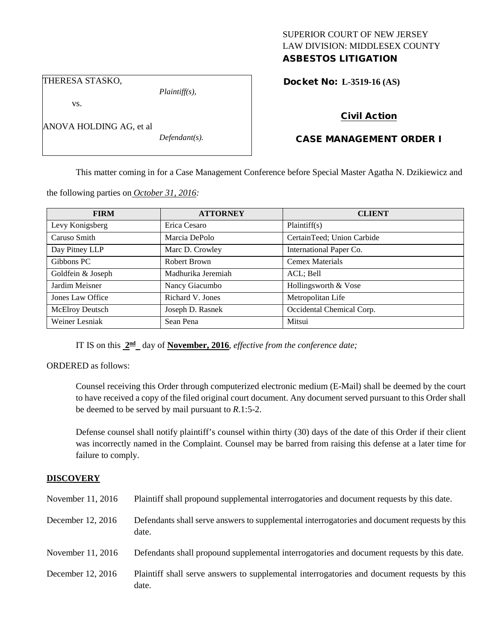# SUPERIOR COURT OF NEW JERSEY LAW DIVISION: MIDDLESEX COUNTY

## ASBESTOS LITIGATION

THERESA STASKO,

vs.

*Defendant(s).*

*Plaintiff(s),*

### Docket No: **L-3519-16 (AS)**

## Civil Action

## CASE MANAGEMENT ORDER I

This matter coming in for a Case Management Conference before Special Master Agatha N. Dzikiewicz and

| the following parties on <i>October 31</i> , 2016: |  |  |
|----------------------------------------------------|--|--|
|                                                    |  |  |

| <b>FIRM</b>            | <b>ATTORNEY</b>    | <b>CLIENT</b>              |
|------------------------|--------------------|----------------------------|
| Levy Konigsberg        | Erica Cesaro       | Plaintiff(s)               |
| Caruso Smith           | Marcia DePolo      | CertainTeed; Union Carbide |
| Day Pitney LLP         | Marc D. Crowley    | International Paper Co.    |
| Gibbons PC             | Robert Brown       | <b>Cemex Materials</b>     |
| Goldfein & Joseph      | Madhurika Jeremiah | ACL; Bell                  |
| Jardim Meisner         | Nancy Giacumbo     | Hollingsworth & Vose       |
| Jones Law Office       | Richard V. Jones   | Metropolitan Life          |
| <b>McElroy Deutsch</b> | Joseph D. Rasnek   | Occidental Chemical Corp.  |
| Weiner Lesniak         | Sean Pena          | Mitsui                     |

IT IS on this **2nd** day of **November, 2016**, *effective from the conference date;*

ORDERED as follows:

Counsel receiving this Order through computerized electronic medium (E-Mail) shall be deemed by the court to have received a copy of the filed original court document. Any document served pursuant to this Order shall be deemed to be served by mail pursuant to *R*.1:5-2.

Defense counsel shall notify plaintiff's counsel within thirty (30) days of the date of this Order if their client was incorrectly named in the Complaint. Counsel may be barred from raising this defense at a later time for failure to comply.

#### **DISCOVERY**

| November 11, 2016 | Plaintiff shall propound supplemental interrogatories and document requests by this date.             |
|-------------------|-------------------------------------------------------------------------------------------------------|
| December 12, 2016 | Defendants shall serve answers to supplemental interrogatories and document requests by this<br>date. |
| November 11, 2016 | Defendants shall propound supplemental interrogatories and document requests by this date.            |
| December 12, 2016 | Plaintiff shall serve answers to supplemental interrogatories and document requests by this<br>date.  |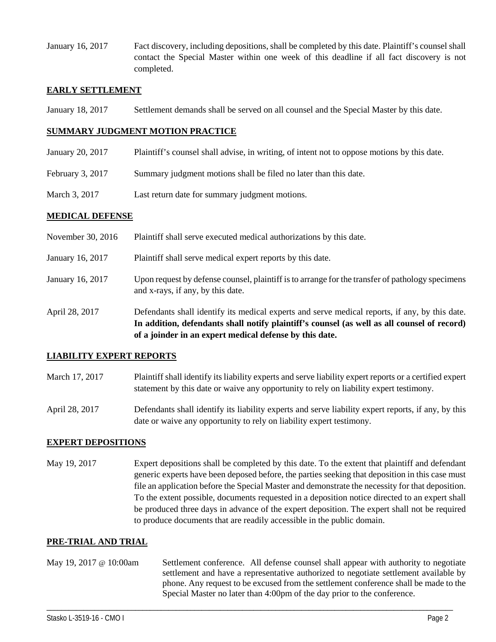January 16, 2017 Fact discovery, including depositions, shall be completed by this date. Plaintiff's counsel shall contact the Special Master within one week of this deadline if all fact discovery is not completed.

#### **EARLY SETTLEMENT**

January 18, 2017 Settlement demands shall be served on all counsel and the Special Master by this date.

#### **SUMMARY JUDGMENT MOTION PRACTICE**

- January 20, 2017 Plaintiff's counsel shall advise, in writing, of intent not to oppose motions by this date.
- February 3, 2017 Summary judgment motions shall be filed no later than this date.
- March 3, 2017 Last return date for summary judgment motions.

#### **MEDICAL DEFENSE**

November 30, 2016 Plaintiff shall serve executed medical authorizations by this date. January 16, 2017 Plaintiff shall serve medical expert reports by this date. January 16, 2017 Upon request by defense counsel, plaintiff is to arrange for the transfer of pathology specimens and x-rays, if any, by this date. April 28, 2017 Defendants shall identify its medical experts and serve medical reports, if any, by this date. **In addition, defendants shall notify plaintiff's counsel (as well as all counsel of record)** 

#### **LIABILITY EXPERT REPORTS**

March 17, 2017 Plaintiff shall identify its liability experts and serve liability expert reports or a certified expert statement by this date or waive any opportunity to rely on liability expert testimony.

**of a joinder in an expert medical defense by this date.**

April 28, 2017 Defendants shall identify its liability experts and serve liability expert reports, if any, by this date or waive any opportunity to rely on liability expert testimony.

#### **EXPERT DEPOSITIONS**

May 19, 2017 Expert depositions shall be completed by this date. To the extent that plaintiff and defendant generic experts have been deposed before, the parties seeking that deposition in this case must file an application before the Special Master and demonstrate the necessity for that deposition. To the extent possible, documents requested in a deposition notice directed to an expert shall be produced three days in advance of the expert deposition. The expert shall not be required to produce documents that are readily accessible in the public domain.

#### **PRE-TRIAL AND TRIAL**

May 19, 2017 @ 10:00am Settlement conference. All defense counsel shall appear with authority to negotiate settlement and have a representative authorized to negotiate settlement available by phone. Any request to be excused from the settlement conference shall be made to the Special Master no later than 4:00pm of the day prior to the conference.

\_\_\_\_\_\_\_\_\_\_\_\_\_\_\_\_\_\_\_\_\_\_\_\_\_\_\_\_\_\_\_\_\_\_\_\_\_\_\_\_\_\_\_\_\_\_\_\_\_\_\_\_\_\_\_\_\_\_\_\_\_\_\_\_\_\_\_\_\_\_\_\_\_\_\_\_\_\_\_\_\_\_\_\_\_\_\_\_\_\_\_\_\_\_\_\_\_\_\_\_\_\_\_\_\_\_\_\_\_\_